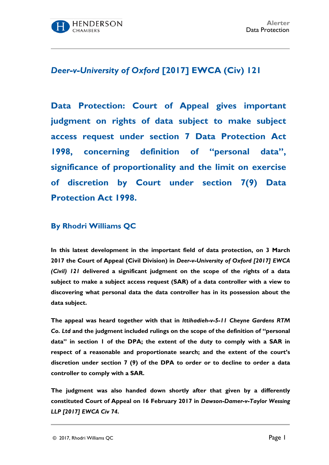

# *Deer-v-University of Oxford* **[2017] EWCA (Civ) 121**

**Data Protection: Court of Appeal gives important judgment on rights of data subject to make subject access request under section 7 Data Protection Act 1998, concerning definition of "personal data", significance of proportionality and the limit on exercise of discretion by Court under section 7(9) Data Protection Act 1998.**

## **By Rhodri Williams QC**

**In this latest development in the important field of data protection, on 3 March 2017 the Court of Appeal (Civil Division) in** *Deer-v-University of Oxford [2017] EWCA (Civil) 121* **delivered a significant judgment on the scope of the rights of a data subject to make a subject access request (SAR) of a data controller with a view to discovering what personal data the data controller has in its possession about the data subject.** 

**The appeal was heard together with that in** *Ittihadieh-v-5-11 Cheyne Gardens RTM Co. Ltd* **and the judgment included rulings on the scope of the definition of "personal data" in section 1 of the DPA; the extent of the duty to comply with a SAR in respect of a reasonable and proportionate search; and the extent of the court's discretion under section 7 (9) of the DPA to order or to decline to order a data controller to comply with a SAR.**

**The judgment was also handed down shortly after that given by a differently constituted Court of Appeal on 16 February 2017 in** *Dawson-Damer-v-Taylor Wessing LLP [2017] EWCA Civ 74***.**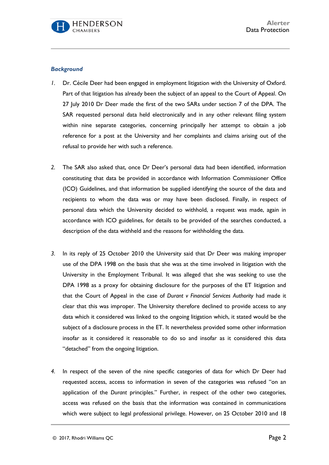

## *Background*

- *1.* Dr. Cécile Deer had been engaged in employment litigation with the University of Oxford. Part of that litigation has already been the subject of an appeal to the Court of Appeal. On 27 July 2010 Dr Deer made the first of the two SARs under section 7 of the DPA. The SAR requested personal data held electronically and in any other relevant filing system within nine separate categories, concerning principally her attempt to obtain a job reference for a post at the University and her complaints and claims arising out of the refusal to provide her with such a reference.
- *2.* The SAR also asked that, once Dr Deer's personal data had been identified, information constituting that data be provided in accordance with Information Commissioner Office (ICO) Guidelines, and that information be supplied identifying the source of the data and recipients to whom the data was or may have been disclosed. Finally, in respect of personal data which the University decided to withhold, a request was made, again in accordance with ICO guidelines, for details to be provided of the searches conducted, a description of the data withheld and the reasons for withholding the data.
- *3.* In its reply of 25 October 2010 the University said that Dr Deer was making improper use of the DPA 1998 on the basis that she was at the time involved in litigation with the University in the Employment Tribunal. It was alleged that she was seeking to use the DPA 1998 as a proxy for obtaining disclosure for the purposes of the ET litigation and that the Court of Appeal in the case of *Durant v Financial Services Authority* had made it clear that this was improper. The University therefore declined to provide access to any data which it considered was linked to the ongoing litigation which, it stated would be the subject of a disclosure process in the ET. It nevertheless provided some other information insofar as it considered it reasonable to do so and insofar as it considered this data "detached" from the ongoing litigation.
- *4.* In respect of the seven of the nine specific categories of data for which Dr Deer had requested access, access to information in seven of the categories was refused "on an application of the *Durant* principles." Further, in respect of the other two categories, access was refused on the basis that the information was contained in communications which were subject to legal professional privilege. However, on 25 October 2010 and 18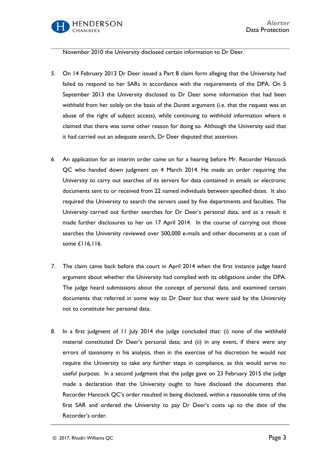

November 2010 the University disclosed certain information to Dr Deer.

- *5.* On 14 February 2013 Dr Deer issued a Part 8 claim form alleging that the University had failed to respond to her SARs in accordance with the requirements of the DPA. On 5 September 2013 the University disclosed to Dr Deer some information that had been withheld from her solely on the basis of the *Durant* argument (i.e. that the request was an abuse of the right of subject access), while continuing to withhold information where it claimed that there was some other reason for doing so. Although the University said that it had carried out an adequate search, Dr Deer disputed that assertion.
- *6.* An application for an interim order came on for a hearing before Mr. Recorder Hancock QC who handed down judgment on 4 March 2014. He made an order requiring the University to carry out searches of its servers for data contained in emails or electronic documents sent to or received from 22 named individuals between specified dates. It also required the University to search the servers used by five departments and faculties. The University carried out further searches for Dr Deer's personal data, and as a result it made further disclosures to her on 17 April 2014. In the course of carrying out those searches the University reviewed over 500,000 e-mails and other documents at a cost of some £116,116.
- *7.* The claim came back before the court in April 2014 when the first instance judge heard argument about whether the University had complied with its obligations under the DPA. The judge heard submissions about the concept of personal data, and examined certain documents that referred in some way to Dr Deer but that were said by the University not to constitute her personal data.
- *8.* In a first judgment of 11 July 2014 the judge concluded that: (i) none of the withheld material constituted Dr Deer's personal data; and (ii) in any event, if there were any errors of taxonomy in his analysis, then in the exercise of his discretion he would not require the University to take any further steps in compliance, as this would serve no useful purpose. In a second judgment that the judge gave on 23 February 2015 the judge made a declaration that the University ought to have disclosed the documents that Recorder Hancock QC's order resulted in being disclosed, within a reasonable time of the first SAR and ordered the University to pay Dr Deer's costs up to the date of the Recorder's order.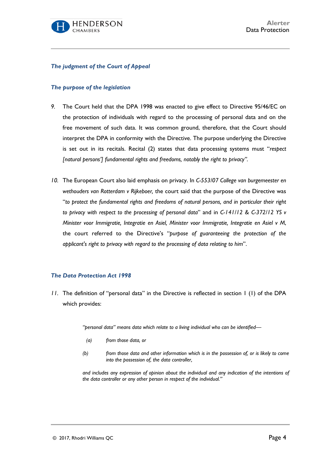

## *The judgment of the Court of Appeal*

#### *The purpose of the legislation*

- *9.* The Court held that the DPA 1998 was enacted to give effect to Directive 95/46/EC on the protection of individuals with regard to the processing of personal data and on the free movement of such data. It was common ground, therefore, that the Court should interpret the DPA in conformity with the Directive. The purpose underlying the Directive is set out in its recitals. Recital (2) states that data processing systems must "*respect [natural persons'] fundamental rights and freedoms, notably the right to privacy".*
- *10.* The European Court also laid emphasis on privacy. In *C-553/07 College van burgemeester en wethouders van Rotterdam v Rijkeboer,* the court said that the purpose of the Directive was "*to protect the fundamental rights and freedoms of natural persons, and in particular their right to privacy with respect to the processing of personal data*" and in *C-141/12 & C-372/12 YS v Minister voor Immigratie, Integratie en Asiel, Minister voor Immigratie, Integratie en Asiel v M*, the court referred to the Directive's "*purpose of guaranteeing the protection of the applicant's right to privacy with regard to the processing of data relating to him*".

#### *The Data Protection Act 1998*

*11.* The definition of "personal data" in the Directive is reflected in section 1 (1) of the DPA which provides:

*"personal data" means data which relate to a living individual who can be identified—*

- *(a) from those data, or*
- *(b) from those data and other information which is in the possession of, or is likely to come into the possession of, the data controller,*

*and includes any expression of opinion about the individual and any indication of the intentions of the data controller or any other person in respect of the individual."*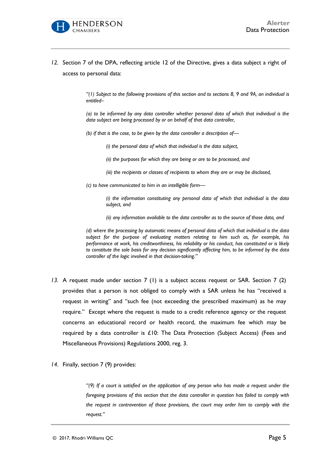

*12.* Section 7 of the DPA, reflecting article 12 of the Directive, gives a data subject a right of access to personal data:

> *"(1) Subject to the following provisions of this section and to sections 8, 9 and 9A, an individual is entitled–*

> *(a) to be informed by any data controller whether personal data of which that individual is the data subject are being processed by or on behalf of that data controller,*

*(b) if that is the case, to be given by the data controller a description of—*

*(i) the personal data of which that individual is the data subject,*

- *(ii) the purposes for which they are being or are to be processed, and*
- *(iii) the recipients or classes of recipients to whom they are or may be disclosed,*

*(c) to have communicated to him in an intelligible form—*

*(i) the information constituting any personal data of which that individual is the data subject, and*

*(ii) any information available to the data controller as to the source of those data, and*

*(d) where the processing by automatic means of personal data of which that individual is the data subject for the purpose of evaluating matters relating to him such as, for example, his performance at work, his creditworthiness, his reliability or his conduct, has constituted or is likely to constitute the sole basis for any decision significantly affecting him, to be informed by the data controller of the logic involved in that decision-taking."*

- *13.* A request made under section 7 (1) is a subject access request or SAR. Section 7 (2) provides that a person is not obliged to comply with a SAR unless he has "received a request in writing" and "such fee (not exceeding the prescribed maximum) as he may require." Except where the request is made to a credit reference agency or the request concerns an educational record or health record, the maximum fee which may be required by a data controller is £10: The Data Protection (Subject Access) (Fees and Miscellaneous Provisions) Regulations 2000, reg. 3.
- *14.* Finally, section 7 (9) provides:

*"(9) If a court is satisfied on the application of any person who has made a request under the foregoing provisions of this section that the data controller in question has failed to comply with the request in contravention of those provisions, the court may order him to comply with the request."*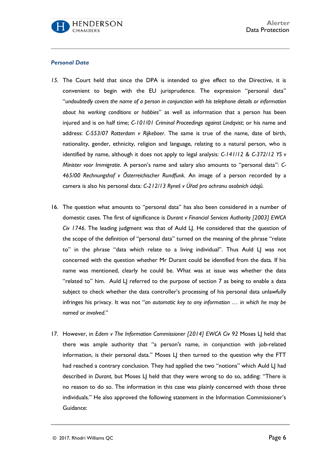### *Personal Data*

- *15.* The Court held that since the DPA is intended to give effect to the Directive, it is convenient to begin with the EU jurisprudence. The expression "personal data" "*undoubtedly covers the name of a person in conjunction with his telephone details or information about his working conditions or hobbies*" as well as information that a person has been injured and is on half time; *C-101/01 Criminal Proceedings against Lindqvist*; or his name and address: *C-553/07 Rotterdam v Rijkeboer*. The same is true of the name, date of birth, nationality, gender, ethnicity, religion and language, relating to a natural person, who is identified by name, although it does not apply to legal analysis: *C-141/12 & C-372/12 YS v Minister voor Immigratie*. A person's name and salary also amounts to "personal data": *C-465/00 Rechnungshof v Ősterreichischer Rundfunk.* An image of a person recorded by a camera is also his personal data: *C-212/13 Ryneš v Úřad pro ochranu osobních údajů.*
- 16. The question what amounts to "personal data" has also been considered in a number of domestic cases. The first of significance is *Durant v Financial Services Authority [2003] EWCA Civ 1746*. The leading judgment was that of Auld LJ. He considered that the question of the scope of the definition of "personal data" turned on the meaning of the phrase "relate to" in the phrase "data which relate to a living individual". Thus Auld LJ was not concerned with the question whether Mr Durant could be identified from the data. If his name was mentioned, clearly he could be. What was at issue was whether the data "related to" him. Auld LJ referred to the purpose of section 7 as being to enable a data subject to check whether the data controller's processing of his personal data unlawfully infringes his privacy. It was not "*an automatic key to any information … in which he may be named or involved.*"
- 17. However, in *Edem v The Information Commissioner [2014] EWCA Civ 92* Moses LJ held that there was ample authority that "a person's name, in conjunction with job-related information, is their personal data." Moses LJ then turned to the question why the FTT had reached a contrary conclusion. They had applied the two "notions" which Auld LJ had described in *Durant*, but Moses LJ held that they were wrong to do so, adding: "There is no reason to do so. The information in this case was plainly concerned with those three individuals." He also approved the following statement in the Information Commissioner's Guidance: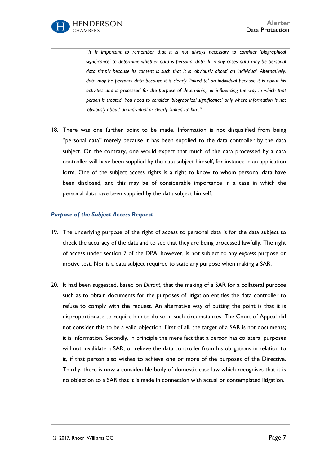

*"It is important to remember that it is not always necessary to consider 'biographical significance' to determine whether data is personal data. In many cases data may be personal data simply because its content is such that it is 'obviously about' an individual. Alternatively, data may be personal data because it is clearly 'linked to' an individual because it is about his activities and is processed for the purpose of determining or influencing the way in which that person is treated. You need to consider 'biographical significance' only where information is not 'obviously about' an individual or clearly 'linked to' him."*

18. There was one further point to be made. Information is not disqualified from being "personal data" merely because it has been supplied to the data controller by the data subject. On the contrary, one would expect that much of the data processed by a data controller will have been supplied by the data subject himself, for instance in an application form. One of the subject access rights is a right to know to whom personal data have been disclosed, and this may be of considerable importance in a case in which the personal data have been supplied by the data subject himself.

#### *Purpose of the Subject Access Request*

- 19. The underlying purpose of the right of access to personal data is for the data subject to check the accuracy of the data and to see that they are being processed lawfully. The right of access under section 7 of the DPA, however, is not subject to any *express* purpose or motive test. Nor is a data subject required to state any purpose when making a SAR.
- 20. It had been suggested, based on *Durant*, that the making of a SAR for a collateral purpose such as to obtain documents for the purposes of litigation entitles the data controller to refuse to comply with the request. An alternative way of putting the point is that it is disproportionate to require him to do so in such circumstances. The Court of Appeal did not consider this to be a valid objection. First of all, the target of a SAR is not documents; it is information. Secondly, in principle the mere fact that a person has collateral purposes will not invalidate a SAR, or relieve the data controller from his obligations in relation to it, if that person also wishes to achieve one or more of the purposes of the Directive. Thirdly, there is now a considerable body of domestic case law which recognises that it is no objection to a SAR that it is made in connection with actual or contemplated litigation.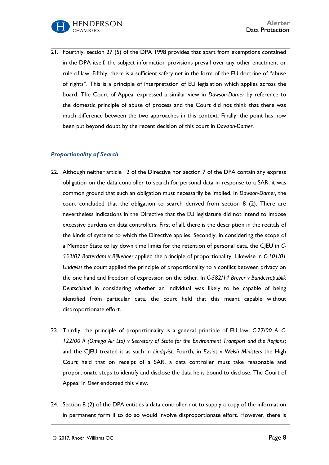

21. Fourthly, section 27 (5) of the DPA 1998 provides that apart from exemptions contained in the DPA itself, the subject information provisions prevail over any other enactment or rule of law. Fifthly, there is a sufficient safety net in the form of the EU doctrine of "abuse of rights". This is a principle of interpretation of EU legislation which applies across the board. The Court of Appeal expressed a similar view in *Dawson-Damer* by reference to the domestic principle of abuse of process and the Court did not think that there was much difference between the two approaches in this context. Finally, the point has now been put beyond doubt by the recent decision of this court in *Dawson-Damer*.

## *Proportionality of Search*

- 22. Although neither article 12 of the Directive nor section 7 of the DPA contain any express obligation on the data controller to search for personal data in response to a SAR, it was common ground that such an obligation must necessarily be implied. In *Dawson-Damer,* the court concluded that the obligation to search derived from section 8 (2). There are nevertheless indications in the Directive that the EU legislature did not intend to impose excessive burdens on data controllers. First of all, there is the description in the recitals of the kinds of systems to which the Directive applies. Secondly, in considering the scope of a Member State to lay down time limits for the retention of personal data, the CJEU in *C-553/07 Rotterdam v Rijkeboer* applied the principle of proportionality. Likewise in *C-101/01 Lindqvist* the court applied the principle of proportionality to a conflict between privacy on the one hand and freedom of expression on the other. In *C-582/14 Breyer v Bundesrepublik Deutschland* in considering whether an individual was likely to be capable of being identified from particular data, the court held that this meant capable without disproportionate effort.
- 23. Thirdly, the principle of proportionality is a general principle of EU law: *C-27/00 & C-122/00 R (Omega Air Ltd) v Secretary of State for the Environment Transport and the Regions*; and the CJEU treated it as such in *Lindqvist*. Fourth, in *Ezsias v Welsh Ministers* the High Court held that on receipt of a SAR, a data controller must take reasonable and proportionate steps to identify and disclose the data he is bound to disclose. The Court of Appeal in *Deer* endorsed this view.
- 24. Section 8 (2) of the DPA entitles a data controller not to supply a copy of the information in permanent form if to do so would involve disproportionate effort. However, there is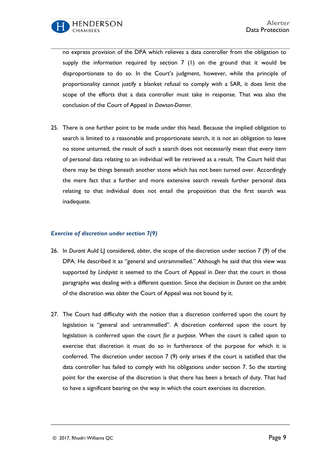

no express provision of the DPA which relieves a data controller from the obligation to supply the information required by section 7 (1) on the ground that it would be disproportionate to do so. In the Court's judgment, however, while the principle of proportionality cannot justify a blanket refusal to comply with a SAR, it does limit the scope of the efforts that a data controller must take in response. That was also the conclusion of the Court of Appeal in *Dawson-Damer.*

25. There is one further point to be made under this head. Because the implied obligation to search is limited to a reasonable and proportionate search, it is not an obligation to leave no stone unturned, the result of such a search does not necessarily mean that every item of personal data relating to an individual will be retrieved as a result. The Court held that there may be things beneath another stone which has not been turned over. Accordingly the mere fact that a further and more extensive search reveals further personal data relating to that individual does not entail the proposition that the first search was inadequate.

#### *Exercise of discretion under section 7(9)*

- 26. In *Durant* Auld LJ considered, *obiter*, the scope of the discretion under section 7 (9) of the DPA. He described it as "general and untrammelled." Although he said that this view was supported by *Lindqvist* it seemed to the Court of Appeal in *Deer* that the court in those paragraphs was dealing with a different question. Since the decision in *Durant* on the ambit of the discretion was *obiter* the Court of Appeal was not bound by it.
- 27. The Court had difficulty with the notion that a discretion conferred upon the court by legislation is "general and untrammelled". A discretion conferred upon the court by legislation is conferred upon the court *for a purpose*. When the court is called upon to exercise that discretion it must do so in furtherance of the purpose for which it is conferred. The discretion under section 7 (9) only arises if the court is satisfied that the data controller has failed to comply with his obligations under section 7. So the starting point for the exercise of the discretion is that there has been a breach of duty. That had to have a significant bearing on the way in which the court exercises its discretion.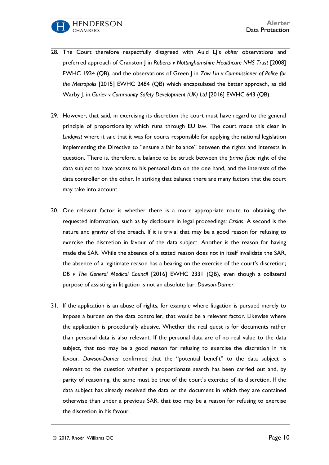

- 28. The Court therefore respectfully disagreed with Auld LJ's *obiter* observations and preferred approach of Cranston J in *Roberts v Nottinghamshire Healthcare NHS Trust* [2008] EWHC 1934 (QB), and the observations of Green J in *Zaw Lin v Commissioner of Police for the Metropolis* [2015] EWHC 2484 (QB) which encapsulated the better approach, as did Warby J. in *Guriev v Community Safety Development (UK) Ltd* [2016] EWHC 643 (QB).
- 29. However, that said, in exercising its discretion the court must have regard to the general principle of proportionality which runs through EU law. The court made this clear in *Lindqvist* where it said that it was for courts responsible for applying the national legislation implementing the Directive to "ensure a fair balance" between the rights and interests in question. There is, therefore, a balance to be struck between the *prima facie* right of the data subject to have access to his personal data on the one hand, and the interests of the data controller on the other. In striking that balance there are many factors that the court may take into account.
- 30. One relevant factor is whether there is a more appropriate route to obtaining the requested information, such as by disclosure in legal proceedings: *Ezsias*. A second is the nature and gravity of the breach. If it is trivial that may be a good reason for refusing to exercise the discretion in favour of the data subject. Another is the reason for having made the SAR. While the absence of a stated reason does not in itself invalidate the SAR, the absence of a legitimate reason has a bearing on the exercise of the court's discretion; *DB v The General Medical Council* [2016] EWHC 2331 (QB), even though a collateral purpose of assisting in litigation is not an absolute bar: *Dawson-Damer*.
- 31. If the application is an abuse of rights, for example where litigation is pursued merely to impose a burden on the data controller, that would be a relevant factor. Likewise where the application is procedurally abusive. Whether the real quest is for documents rather than personal data is also relevant. If the personal data are of no real value to the data subject, that too may be a good reason for refusing to exercise the discretion in his favour. *Dawson-Damer* confirmed that the "potential benefit" to the data subject is relevant to the question whether a proportionate search has been carried out and, by parity of reasoning, the same must be true of the court's exercise of its discretion. If the data subject has already received the data or the document in which they are contained otherwise than under a previous SAR, that too may be a reason for refusing to exercise the discretion in his favour.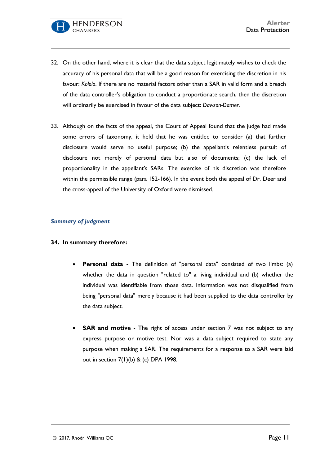

- 32. On the other hand, where it is clear that the data subject legitimately wishes to check the accuracy of his personal data that will be a good reason for exercising the discretion in his favour: *Kololo*. If there are no material factors other than a SAR in valid form and a breach of the data controller's obligation to conduct a proportionate search, then the discretion will ordinarily be exercised in favour of the data subject: *Dawson-Damer*.
- 33. Although on the facts of the appeal, the Court of Appeal found that the judge had made some errors of taxonomy, it held that he was entitled to consider (a) that further disclosure would serve no useful purpose; (b) the appellant's relentless pursuit of disclosure not merely of personal data but also of documents; (c) the lack of proportionality in the appellant's SARs. The exercise of his discretion was therefore within the permissible range (para 152-166). In the event both the appeal of Dr. Deer and the cross-appeal of the University of Oxford were dismissed.

## *Summary of judgment*

#### **34. In summary therefore:**

- **Personal data -** The definition of "personal data" consisted of two limbs: (a) whether the data in question "related to" a living individual and (b) whether the individual was identifiable from those data. Information was not disqualified from being "personal data" merely because it had been supplied to the data controller by the data subject.
- **SAR and motive** The right of access under section 7 was not subject to any express purpose or motive test. Nor was a data subject required to state any purpose when making a SAR. The requirements for a response to a SAR were laid out in section 7(1)(b) & (c) DPA 1998.